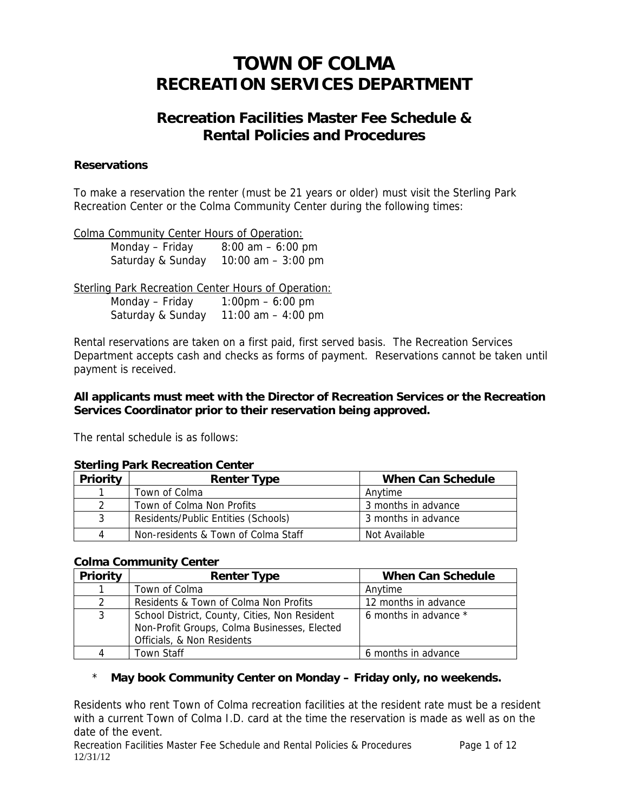# **TOWN OF COLMA RECREATION SERVICES DEPARTMENT**

# **Recreation Facilities Master Fee Schedule & Rental Policies and Procedures**

#### **Reservations**

To make a reservation the renter (must be 21 years or older) must visit the Sterling Park Recreation Center or the Colma Community Center during the following times:

Colma Community Center Hours of Operation:

Monday – Friday  $8:00 \text{ am} - 6:00 \text{ pm}$ Saturday & Sunday 10:00 am – 3:00 pm

Sterling Park Recreation Center Hours of Operation: Monday – Friday 1:00pm – 6:00 pm Saturday & Sunday 11:00 am – 4:00 pm

Rental reservations are taken on a first paid, first served basis. The Recreation Services Department accepts cash and checks as forms of payment. Reservations cannot be taken until payment is received.

#### **All applicants must meet with the Director of Recreation Services or the Recreation Services Coordinator prior to their reservation being approved.**

The rental schedule is as follows:

#### **Sterling Park Recreation Center**

| Priority      | <b>Renter Type</b>                  | <b>When Can Schedule</b> |
|---------------|-------------------------------------|--------------------------|
|               | Town of Colma                       | Anvtime                  |
| $\mathcal{P}$ | Town of Colma Non Profits           | 3 months in advance      |
| 3             | Residents/Public Entities (Schools) | 3 months in advance      |
| 4             | Non-residents & Town of Colma Staff | Not Available            |

#### **Colma Community Center**

| Priority      | <b>Renter Type</b>                                                                                                          | <b>When Can Schedule</b> |  |
|---------------|-----------------------------------------------------------------------------------------------------------------------------|--------------------------|--|
|               | Town of Colma                                                                                                               | Anytime                  |  |
| $\mathcal{P}$ | Residents & Town of Colma Non Profits                                                                                       | 12 months in advance     |  |
| 3             | School District, County, Cities, Non Resident<br>Non-Profit Groups, Colma Businesses, Elected<br>Officials, & Non Residents | 6 months in advance *    |  |
|               | <b>Town Staff</b>                                                                                                           | 6 months in advance      |  |

# \* **May book Community Center on Monday – Friday only, no weekends.**

Residents who rent Town of Colma recreation facilities at the resident rate must be a resident with a current Town of Colma I.D. card at the time the reservation is made as well as on the date of the event.

Recreation Facilities Master Fee Schedule and Rental Policies & Procedures Page 1 of 12 12/31/12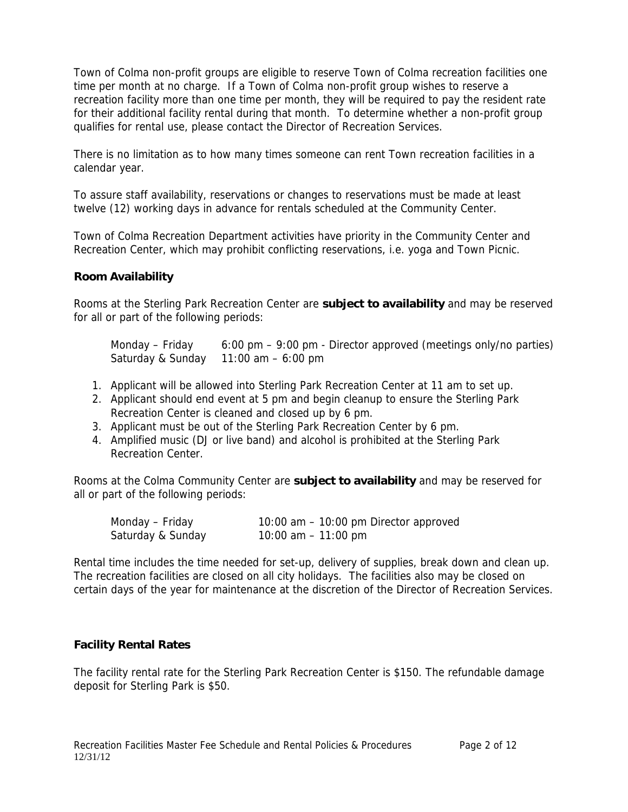Town of Colma non-profit groups are eligible to reserve Town of Colma recreation facilities one time per month at no charge. If a Town of Colma non-profit group wishes to reserve a recreation facility more than one time per month, they will be required to pay the resident rate for their additional facility rental during that month. To determine whether a non-profit group qualifies for rental use, please contact the Director of Recreation Services.

There is no limitation as to how many times someone can rent Town recreation facilities in a calendar year.

To assure staff availability, reservations or changes to reservations must be made at least twelve (12) working days in advance for rentals scheduled at the Community Center.

Town of Colma Recreation Department activities have priority in the Community Center and Recreation Center, which may prohibit conflicting reservations, i.e. yoga and Town Picnic.

#### **Room Availability**

Rooms at the Sterling Park Recreation Center are **subject to availability** and may be reserved for all or part of the following periods:

Monday – Friday  $6:00 \text{ pm} - 9:00 \text{ pm}$  - Director approved (meetings only/no parties) Saturday & Sunday 11:00 am – 6:00 pm

- 1. Applicant will be allowed into Sterling Park Recreation Center at 11 am to set up.
- 2. Applicant should end event at 5 pm and begin cleanup to ensure the Sterling Park Recreation Center is cleaned and closed up by 6 pm.
- 3. Applicant must be out of the Sterling Park Recreation Center by 6 pm.
- 4. Amplified music (DJ or live band) and alcohol is prohibited at the Sterling Park Recreation Center.

Rooms at the Colma Community Center are **subject to availability** and may be reserved for all or part of the following periods:

| Monday – Friday   | 10:00 am $-$ 10:00 pm Director approved |
|-------------------|-----------------------------------------|
| Saturday & Sunday | 10:00 am $-$ 11:00 pm                   |

Rental time includes the time needed for set-up, delivery of supplies, break down and clean up. The recreation facilities are closed on all city holidays. The facilities also may be closed on certain days of the year for maintenance at the discretion of the Director of Recreation Services.

# **Facility Rental Rates**

The facility rental rate for the Sterling Park Recreation Center is \$150. The refundable damage deposit for Sterling Park is \$50.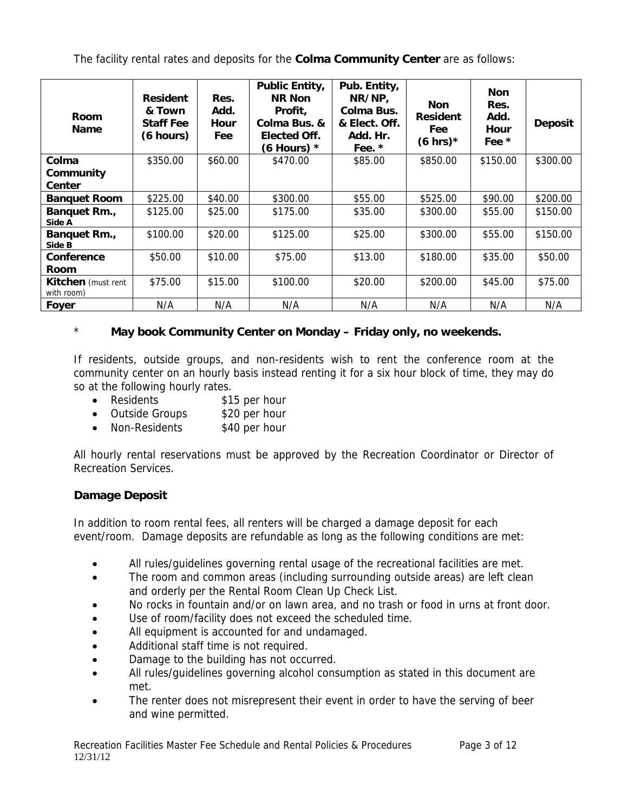The facility rental rates and deposits for the **Colma Community Center** are as follows:

| Room<br><b>Name</b>                     | <b>Resident</b><br>& Town<br><b>Staff Fee</b><br>(6 hours) | Res.<br>Add.<br>Hour<br>Fee | <b>Public Entity,</b><br><b>NR Non</b><br>Profit,<br>Colma Bus. &<br><b>Elected Off.</b><br>(6 Hours) $*$ | Pub. Entity,<br>NR/NP,<br>Colma Bus.<br>& Elect. Off.<br>Add. Hr.<br>Fee. * | <b>Non</b><br><b>Resident</b><br>Fee<br>$(6 \text{ hrs})*$ | <b>Non</b><br>Res.<br>Add.<br><b>Hour</b><br>Fee * | <b>Deposit</b> |
|-----------------------------------------|------------------------------------------------------------|-----------------------------|-----------------------------------------------------------------------------------------------------------|-----------------------------------------------------------------------------|------------------------------------------------------------|----------------------------------------------------|----------------|
| Colma<br>Community<br>Center            | \$350.00                                                   | \$60.00                     | \$470.00                                                                                                  | \$85.00                                                                     | \$850.00                                                   | \$150.00                                           | \$300.00       |
| <b>Banquet Room</b>                     | \$225.00                                                   | \$40.00                     | \$300.00                                                                                                  | \$55.00                                                                     | \$525.00                                                   | \$90.00                                            | \$200.00       |
| Banquet Rm.,<br>Side A                  | \$125.00                                                   | \$25.00                     | \$175.00                                                                                                  | \$35.00                                                                     | \$300.00                                                   | \$55.00                                            | \$150.00       |
| Banquet Rm.,<br>Side B                  | \$100.00                                                   | \$20.00                     | \$125.00                                                                                                  | \$25.00                                                                     | \$300.00                                                   | \$55.00                                            | \$150.00       |
| Conference<br><b>Room</b>               | \$50.00                                                    | \$10.00                     | \$75.00                                                                                                   | \$13.00                                                                     | \$180.00                                                   | \$35.00                                            | \$50.00        |
| <b>Kitchen</b> (must rent<br>with room) | \$75.00                                                    | \$15.00                     | \$100.00                                                                                                  | \$20.00                                                                     | \$200.00                                                   | \$45.00                                            | \$75.00        |
| Foyer                                   | N/A                                                        | N/A                         | N/A                                                                                                       | N/A                                                                         | N/A                                                        | N/A                                                | N/A            |

# \* **May book Community Center on Monday – Friday only, no weekends.**

If residents, outside groups, and non-residents wish to rent the conference room at the community center on an hourly basis instead renting it for a six hour block of time, they may do so at the following hourly rates.

- Residents \$15 per hour
- Outside Groups \$20 per hour
- Non-Residents \$40 per hour

All hourly rental reservations must be approved by the Recreation Coordinator or Director of Recreation Services.

# **Damage Deposit**

In addition to room rental fees, all renters will be charged a damage deposit for each event/room. Damage deposits are refundable as long as the following conditions are met:

- All rules/guidelines governing rental usage of the recreational facilities are met.
- The room and common areas (including surrounding outside areas) are left clean and orderly per the Rental Room Clean Up Check List.
- No rocks in fountain and/or on lawn area, and no trash or food in urns at front door.
- Use of room/facility does not exceed the scheduled time.
- All equipment is accounted for and undamaged.
- Additional staff time is not required.
- Damage to the building has not occurred.
- All rules/guidelines governing alcohol consumption as stated in this document are met.
- The renter does not misrepresent their event in order to have the serving of beer and wine permitted.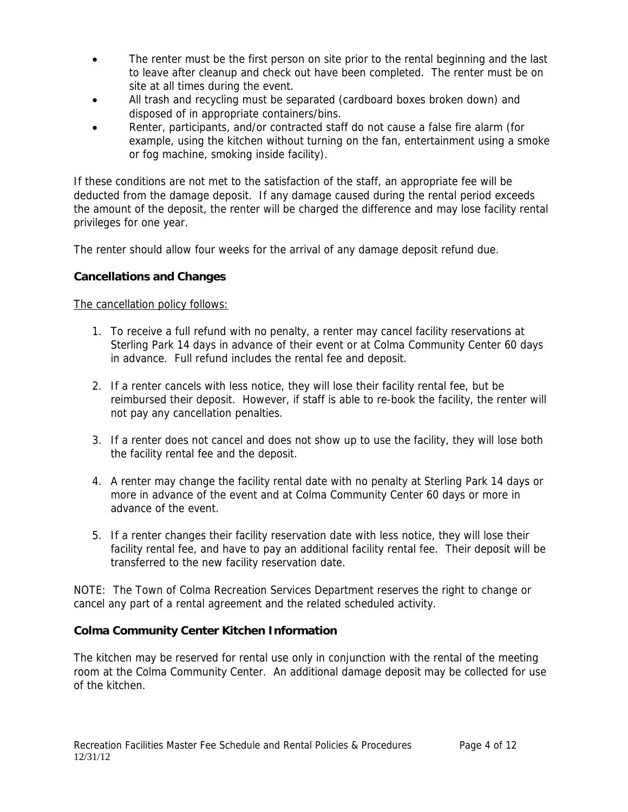- The renter must be the first person on site prior to the rental beginning and the last to leave after cleanup and check out have been completed. The renter must be on site at all times during the event.
- All trash and recycling must be separated (cardboard boxes broken down) and disposed of in appropriate containers/bins.
- Renter, participants, and/or contracted staff do not cause a false fire alarm (for example, using the kitchen without turning on the fan, entertainment using a smoke or fog machine, smoking inside facility).

If these conditions are not met to the satisfaction of the staff, an appropriate fee will be deducted from the damage deposit. If any damage caused during the rental period exceeds the amount of the deposit, the renter will be charged the difference and may lose facility rental privileges for one year.

The renter should allow four weeks for the arrival of any damage deposit refund due.

#### **Cancellations and Changes**

The cancellation policy follows:

- 1. To receive a full refund with no penalty, a renter may cancel facility reservations at Sterling Park 14 days in advance of their event or at Colma Community Center 60 days in advance. Full refund includes the rental fee and deposit.
- 2. If a renter cancels with less notice, they will lose their facility rental fee, but be reimbursed their deposit. However, if staff is able to re-book the facility, the renter will not pay any cancellation penalties.
- 3. If a renter does not cancel and does not show up to use the facility, they will lose both the facility rental fee and the deposit.
- 4. A renter may change the facility rental date with no penalty at Sterling Park 14 days or more in advance of the event and at Colma Community Center 60 days or more in advance of the event.
- 5. If a renter changes their facility reservation date with less notice, they will lose their facility rental fee, and have to pay an additional facility rental fee. Their deposit will be transferred to the new facility reservation date.

NOTE: The Town of Colma Recreation Services Department reserves the right to change or cancel any part of a rental agreement and the related scheduled activity.

# **Colma Community Center Kitchen Information**

The kitchen may be reserved for rental use only in conjunction with the rental of the meeting room at the Colma Community Center. An additional damage deposit may be collected for use of the kitchen.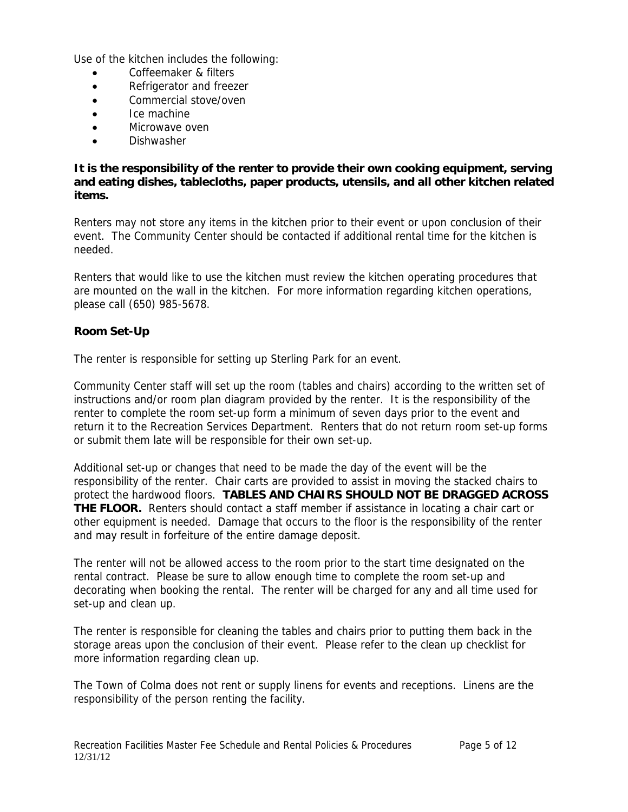Use of the kitchen includes the following:

- Coffeemaker & filters
- Refrigerator and freezer
- Commercial stove/oven
- Ice machine
- Microwave oven
- Dishwasher

**It is the responsibility of the renter to provide their own cooking equipment, serving and eating dishes, tablecloths, paper products, utensils, and all other kitchen related items.** 

Renters may not store any items in the kitchen prior to their event or upon conclusion of their event. The Community Center should be contacted if additional rental time for the kitchen is needed.

Renters that would like to use the kitchen must review the kitchen operating procedures that are mounted on the wall in the kitchen. For more information regarding kitchen operations, please call (650) 985-5678.

#### **Room Set-Up**

The renter is responsible for setting up Sterling Park for an event.

Community Center staff will set up the room (tables and chairs) according to the written set of instructions and/or room plan diagram provided by the renter. It is the responsibility of the renter to complete the room set-up form a minimum of seven days prior to the event and return it to the Recreation Services Department. Renters that do not return room set-up forms or submit them late will be responsible for their own set-up.

Additional set-up or changes that need to be made the day of the event will be the responsibility of the renter. Chair carts are provided to assist in moving the stacked chairs to protect the hardwood floors. **TABLES AND CHAIRS SHOULD NOT BE DRAGGED ACROSS THE FLOOR.** Renters should contact a staff member if assistance in locating a chair cart or other equipment is needed. Damage that occurs to the floor is the responsibility of the renter and may result in forfeiture of the entire damage deposit.

The renter will not be allowed access to the room prior to the start time designated on the rental contract. Please be sure to allow enough time to complete the room set-up and decorating when booking the rental. The renter will be charged for any and all time used for set-up and clean up.

The renter is responsible for cleaning the tables and chairs prior to putting them back in the storage areas upon the conclusion of their event. Please refer to the clean up checklist for more information regarding clean up.

The Town of Colma does not rent or supply linens for events and receptions. Linens are the responsibility of the person renting the facility.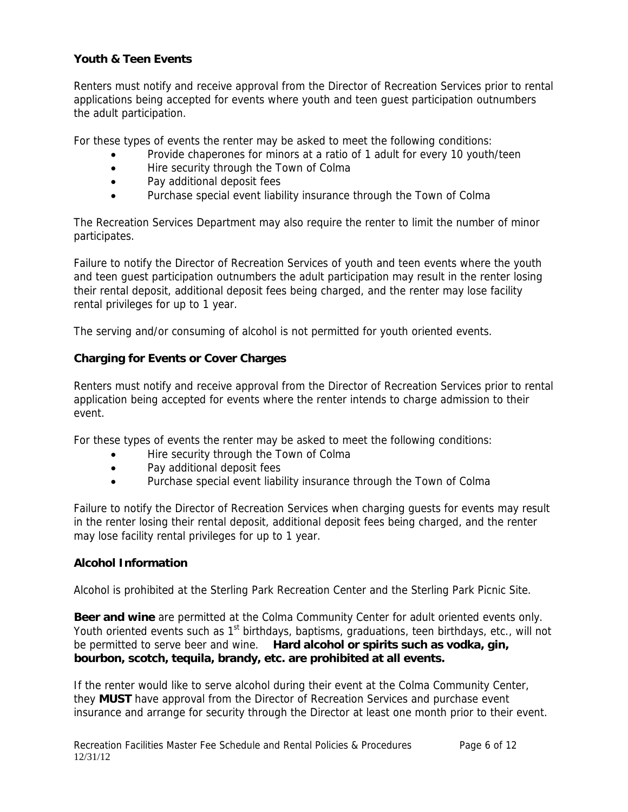# **Youth & Teen Events**

Renters must notify and receive approval from the Director of Recreation Services prior to rental applications being accepted for events where youth and teen guest participation outnumbers the adult participation.

For these types of events the renter may be asked to meet the following conditions:

- Provide chaperones for minors at a ratio of 1 adult for every 10 youth/teen
- Hire security through the Town of Colma
- Pay additional deposit fees
- Purchase special event liability insurance through the Town of Colma

The Recreation Services Department may also require the renter to limit the number of minor participates.

Failure to notify the Director of Recreation Services of youth and teen events where the youth and teen guest participation outnumbers the adult participation may result in the renter losing their rental deposit, additional deposit fees being charged, and the renter may lose facility rental privileges for up to 1 year.

The serving and/or consuming of alcohol is not permitted for youth oriented events.

# **Charging for Events or Cover Charges**

Renters must notify and receive approval from the Director of Recreation Services prior to rental application being accepted for events where the renter intends to charge admission to their event.

For these types of events the renter may be asked to meet the following conditions:

- Hire security through the Town of Colma
- Pay additional deposit fees
- Purchase special event liability insurance through the Town of Colma

Failure to notify the Director of Recreation Services when charging guests for events may result in the renter losing their rental deposit, additional deposit fees being charged, and the renter may lose facility rental privileges for up to 1 year.

#### **Alcohol Information**

Alcohol is prohibited at the Sterling Park Recreation Center and the Sterling Park Picnic Site.

**Beer and wine** are permitted at the Colma Community Center for adult oriented events only. Youth oriented events such as 1<sup>st</sup> birthdays, baptisms, graduations, teen birthdays, etc., will not be permitted to serve beer and wine. **Hard alcohol or spirits such as vodka, gin, bourbon, scotch, tequila, brandy, etc. are prohibited at all events.** 

If the renter would like to serve alcohol during their event at the Colma Community Center, they **MUST** have approval from the Director of Recreation Services and purchase event insurance and arrange for security through the Director at least one month prior to their event.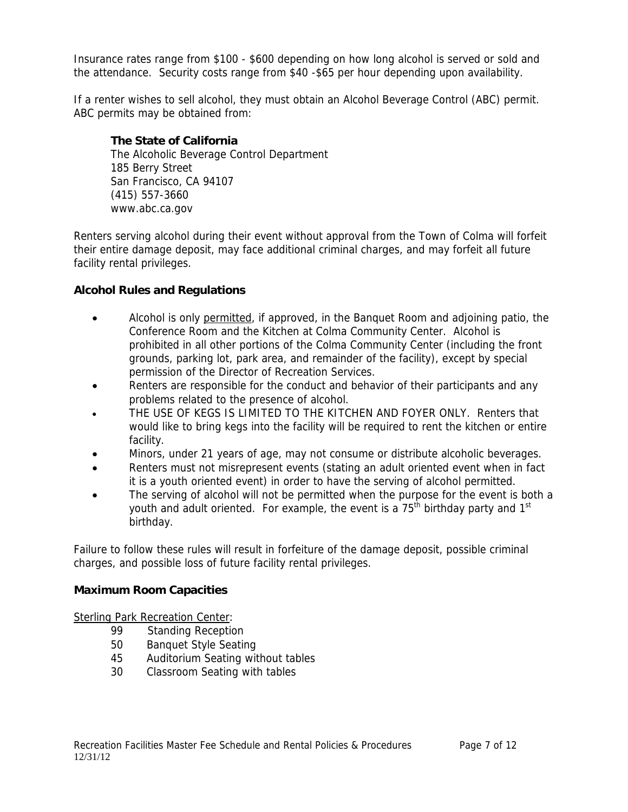Insurance rates range from \$100 - \$600 depending on how long alcohol is served or sold and the attendance. Security costs range from \$40 -\$65 per hour depending upon availability.

If a renter wishes to sell alcohol, they must obtain an Alcohol Beverage Control (ABC) permit. ABC permits may be obtained from:

# **The State of California**

 The Alcoholic Beverage Control Department 185 Berry Street San Francisco, CA 94107 (415) 557-3660 www.abc.ca.gov

Renters serving alcohol during their event without approval from the Town of Colma will forfeit their entire damage deposit, may face additional criminal charges, and may forfeit all future facility rental privileges.

# **Alcohol Rules and Regulations**

- Alcohol is only permitted, if approved, in the Banquet Room and adjoining patio, the Conference Room and the Kitchen at Colma Community Center. Alcohol is prohibited in all other portions of the Colma Community Center (including the front grounds, parking lot, park area, and remainder of the facility), except by special permission of the Director of Recreation Services.
- Renters are responsible for the conduct and behavior of their participants and any problems related to the presence of alcohol.
- THE USE OF KEGS IS LIMITED TO THE KITCHEN AND FOYER ONLY. Renters that would like to bring kegs into the facility will be required to rent the kitchen or entire facility.
- Minors, under 21 years of age, may not consume or distribute alcoholic beverages.
- Renters must not misrepresent events (stating an adult oriented event when in fact it is a youth oriented event) in order to have the serving of alcohol permitted.
- The serving of alcohol will not be permitted when the purpose for the event is both a youth and adult oriented. For example, the event is a  $75<sup>th</sup>$  birthday party and 1<sup>st</sup> birthday.

Failure to follow these rules will result in forfeiture of the damage deposit, possible criminal charges, and possible loss of future facility rental privileges.

# **Maximum Room Capacities**

Sterling Park Recreation Center:

- 99 Standing Reception
- 50 Banquet Style Seating
- 45 Auditorium Seating without tables
- 30 Classroom Seating with tables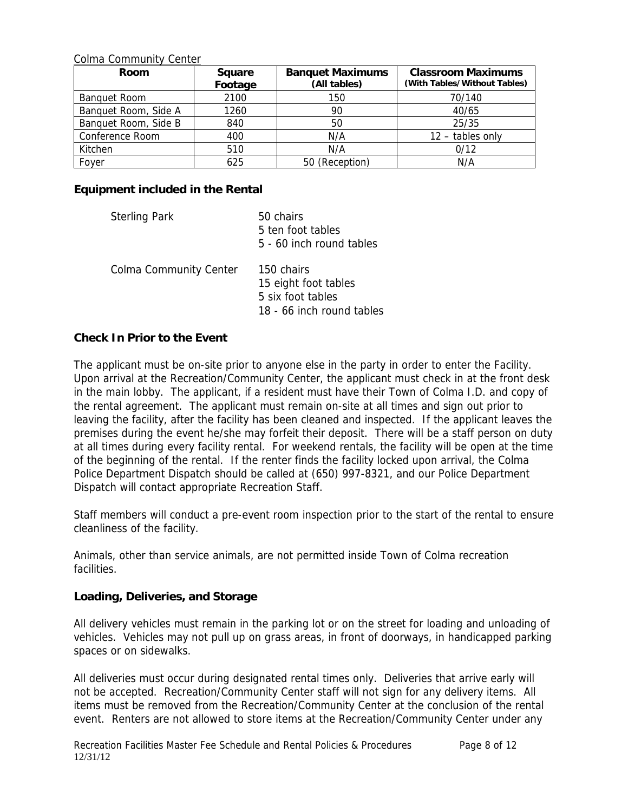Colma Community Center

| Room                 | <b>Square</b><br>Footage | <b>Banquet Maximums</b><br>(All tables) | <b>Classroom Maximums</b><br>(With Tables/Without Tables) |
|----------------------|--------------------------|-----------------------------------------|-----------------------------------------------------------|
| <b>Banquet Room</b>  | 2100                     | 150                                     | 70/140                                                    |
| Banquet Room, Side A | 1260                     | 90                                      | 40/65                                                     |
| Banquet Room, Side B | 840                      | 50                                      | 25/35                                                     |
| Conference Room      | 400                      | N/A                                     | $12 -$ tables only                                        |
| Kitchen              | 510                      | N/A                                     | 0/12                                                      |
| Foyer                | 625                      | 50 (Reception)                          | N/A                                                       |

#### **Equipment included in the Rental**

| <b>Sterling Park</b>          | 50 chairs<br>5 ten foot tables<br>5 - 60 inch round tables |
|-------------------------------|------------------------------------------------------------|
| <b>Colma Community Center</b> | 150 chairs<br>15 eight foot tables<br>5 six foot tables    |

18 - 66 inch round tables

#### **Check In Prior to the Event**

The applicant must be on-site prior to anyone else in the party in order to enter the Facility. Upon arrival at the Recreation/Community Center, the applicant must check in at the front desk in the main lobby. The applicant, if a resident must have their Town of Colma I.D. and copy of the rental agreement. The applicant must remain on-site at all times and sign out prior to leaving the facility, after the facility has been cleaned and inspected. If the applicant leaves the premises during the event he/she may forfeit their deposit. There will be a staff person on duty at all times during every facility rental. For weekend rentals, the facility will be open at the time of the beginning of the rental. If the renter finds the facility locked upon arrival, the Colma Police Department Dispatch should be called at (650) 997-8321, and our Police Department Dispatch will contact appropriate Recreation Staff.

Staff members will conduct a pre-event room inspection prior to the start of the rental to ensure cleanliness of the facility.

Animals, other than service animals, are not permitted inside Town of Colma recreation facilities.

#### **Loading, Deliveries, and Storage**

All delivery vehicles must remain in the parking lot or on the street for loading and unloading of vehicles. Vehicles may not pull up on grass areas, in front of doorways, in handicapped parking spaces or on sidewalks.

All deliveries must occur during designated rental times only. Deliveries that arrive early will not be accepted. Recreation/Community Center staff will not sign for any delivery items. All items must be removed from the Recreation/Community Center at the conclusion of the rental event. Renters are not allowed to store items at the Recreation/Community Center under any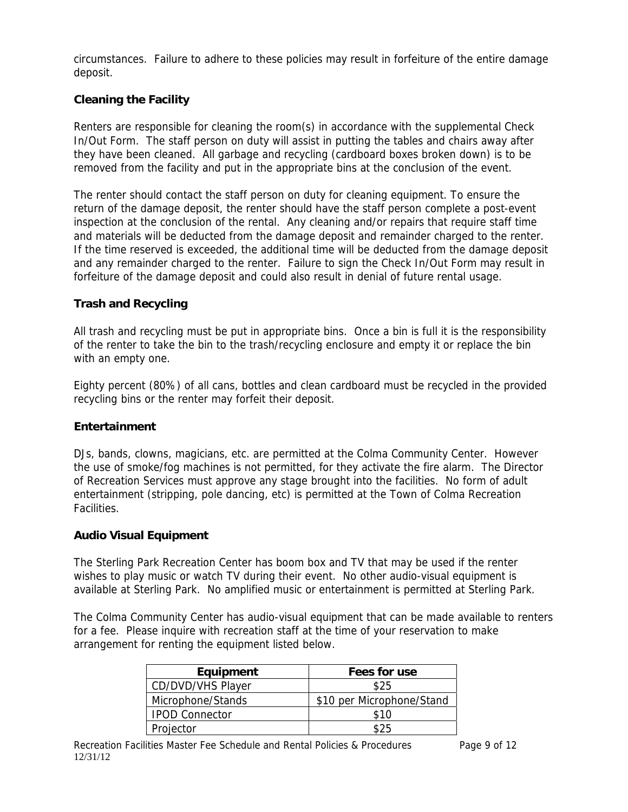circumstances. Failure to adhere to these policies may result in forfeiture of the entire damage deposit.

# **Cleaning the Facility**

Renters are responsible for cleaning the room(s) in accordance with the supplemental Check In/Out Form. The staff person on duty will assist in putting the tables and chairs away after they have been cleaned. All garbage and recycling (cardboard boxes broken down) is to be removed from the facility and put in the appropriate bins at the conclusion of the event.

The renter should contact the staff person on duty for cleaning equipment. To ensure the return of the damage deposit, the renter should have the staff person complete a post-event inspection at the conclusion of the rental. Any cleaning and/or repairs that require staff time and materials will be deducted from the damage deposit and remainder charged to the renter. If the time reserved is exceeded, the additional time will be deducted from the damage deposit and any remainder charged to the renter. Failure to sign the Check In/Out Form may result in forfeiture of the damage deposit and could also result in denial of future rental usage.

# **Trash and Recycling**

All trash and recycling must be put in appropriate bins. Once a bin is full it is the responsibility of the renter to take the bin to the trash/recycling enclosure and empty it or replace the bin with an empty one.

Eighty percent (80%) of all cans, bottles and clean cardboard must be recycled in the provided recycling bins or the renter may forfeit their deposit.

#### **Entertainment**

DJs, bands, clowns, magicians, etc. are permitted at the Colma Community Center. However the use of smoke/fog machines is not permitted, for they activate the fire alarm. The Director of Recreation Services must approve any stage brought into the facilities. No form of adult entertainment (stripping, pole dancing, etc) is permitted at the Town of Colma Recreation Facilities.

#### **Audio Visual Equipment**

The Sterling Park Recreation Center has boom box and TV that may be used if the renter wishes to play music or watch TV during their event. No other audio-visual equipment is available at Sterling Park. No amplified music or entertainment is permitted at Sterling Park.

The Colma Community Center has audio-visual equipment that can be made available to renters for a fee. Please inquire with recreation staff at the time of your reservation to make arrangement for renting the equipment listed below.

| Equipment             | Fees for use              |
|-----------------------|---------------------------|
| CD/DVD/VHS Player     | \$25                      |
| Microphone/Stands     | \$10 per Microphone/Stand |
| <b>IPOD Connector</b> | \$10                      |
| Projector             |                           |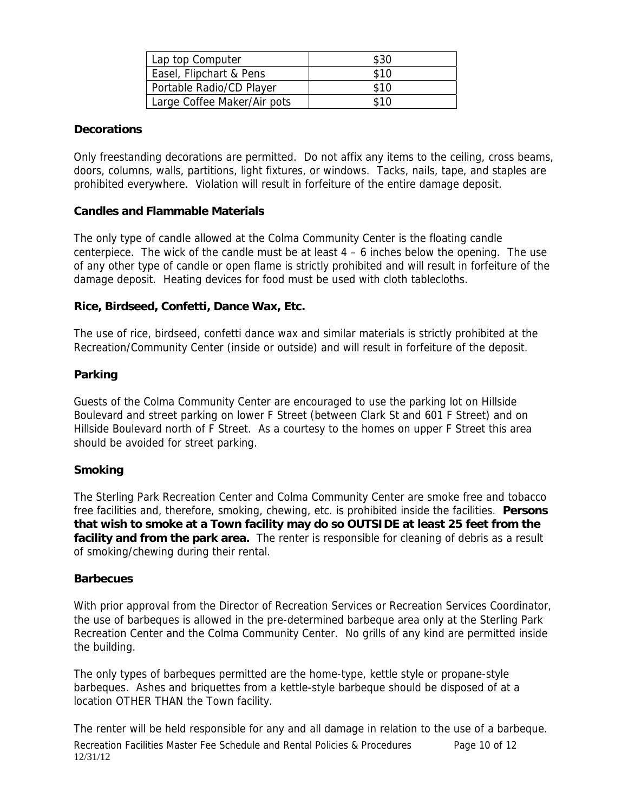| Lap top Computer            | \$30 |
|-----------------------------|------|
| Easel, Flipchart & Pens     | \$10 |
| Portable Radio/CD Player    | \$10 |
| Large Coffee Maker/Air pots | \$10 |

#### **Decorations**

Only freestanding decorations are permitted. Do not affix any items to the ceiling, cross beams, doors, columns, walls, partitions, light fixtures, or windows. Tacks, nails, tape, and staples are prohibited everywhere. Violation will result in forfeiture of the entire damage deposit.

#### **Candles and Flammable Materials**

The only type of candle allowed at the Colma Community Center is the floating candle centerpiece. The wick of the candle must be at least  $4 - 6$  inches below the opening. The use of any other type of candle or open flame is strictly prohibited and will result in forfeiture of the damage deposit. Heating devices for food must be used with cloth tablecloths.

#### **Rice, Birdseed, Confetti, Dance Wax, Etc.**

The use of rice, birdseed, confetti dance wax and similar materials is strictly prohibited at the Recreation/Community Center (inside or outside) and will result in forfeiture of the deposit.

# **Parking**

Guests of the Colma Community Center are encouraged to use the parking lot on Hillside Boulevard and street parking on lower F Street (between Clark St and 601 F Street) and on Hillside Boulevard north of F Street. As a courtesy to the homes on upper F Street this area should be avoided for street parking.

# **Smoking**

The Sterling Park Recreation Center and Colma Community Center are smoke free and tobacco free facilities and, therefore, smoking, chewing, etc. is prohibited inside the facilities. **Persons that wish to smoke at a Town facility may do so OUTSIDE at least 25 feet from the**  facility and from the park area. The renter is responsible for cleaning of debris as a result of smoking/chewing during their rental.

#### **Barbecues**

With prior approval from the Director of Recreation Services or Recreation Services Coordinator, the use of barbeques is allowed in the pre-determined barbeque area only at the Sterling Park Recreation Center and the Colma Community Center. No grills of any kind are permitted inside the building.

The only types of barbeques permitted are the home-type, kettle style or propane-style barbeques. Ashes and briquettes from a kettle-style barbeque should be disposed of at a location OTHER THAN the Town facility.

Recreation Facilities Master Fee Schedule and Rental Policies & Procedures Page 10 of 12 12/31/12 The renter will be held responsible for any and all damage in relation to the use of a barbeque.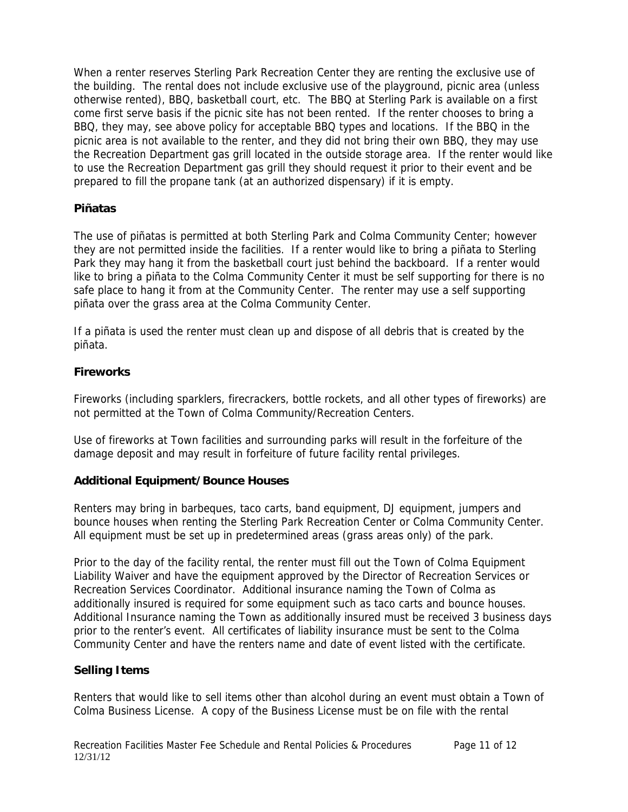When a renter reserves Sterling Park Recreation Center they are renting the exclusive use of the building. The rental does not include exclusive use of the playground, picnic area (unless otherwise rented), BBQ, basketball court, etc. The BBQ at Sterling Park is available on a first come first serve basis if the picnic site has not been rented. If the renter chooses to bring a BBQ, they may, see above policy for acceptable BBQ types and locations. If the BBQ in the picnic area is not available to the renter, and they did not bring their own BBQ, they may use the Recreation Department gas grill located in the outside storage area. If the renter would like to use the Recreation Department gas grill they should request it prior to their event and be prepared to fill the propane tank (at an authorized dispensary) if it is empty.

#### **Piñatas**

The use of piñatas is permitted at both Sterling Park and Colma Community Center; however they are not permitted inside the facilities. If a renter would like to bring a piñata to Sterling Park they may hang it from the basketball court just behind the backboard. If a renter would like to bring a piñata to the Colma Community Center it must be self supporting for there is no safe place to hang it from at the Community Center. The renter may use a self supporting piñata over the grass area at the Colma Community Center.

If a piñata is used the renter must clean up and dispose of all debris that is created by the piñata.

# **Fireworks**

Fireworks (including sparklers, firecrackers, bottle rockets, and all other types of fireworks) are not permitted at the Town of Colma Community/Recreation Centers.

Use of fireworks at Town facilities and surrounding parks will result in the forfeiture of the damage deposit and may result in forfeiture of future facility rental privileges.

#### **Additional Equipment/Bounce Houses**

Renters may bring in barbeques, taco carts, band equipment, DJ equipment, jumpers and bounce houses when renting the Sterling Park Recreation Center or Colma Community Center. All equipment must be set up in predetermined areas (grass areas only) of the park.

Prior to the day of the facility rental, the renter must fill out the Town of Colma Equipment Liability Waiver and have the equipment approved by the Director of Recreation Services or Recreation Services Coordinator. Additional insurance naming the Town of Colma as additionally insured is required for some equipment such as taco carts and bounce houses. Additional Insurance naming the Town as additionally insured must be received 3 business days prior to the renter's event. All certificates of liability insurance must be sent to the Colma Community Center and have the renters name and date of event listed with the certificate.

#### **Selling Items**

Renters that would like to sell items other than alcohol during an event must obtain a Town of Colma Business License. A copy of the Business License must be on file with the rental